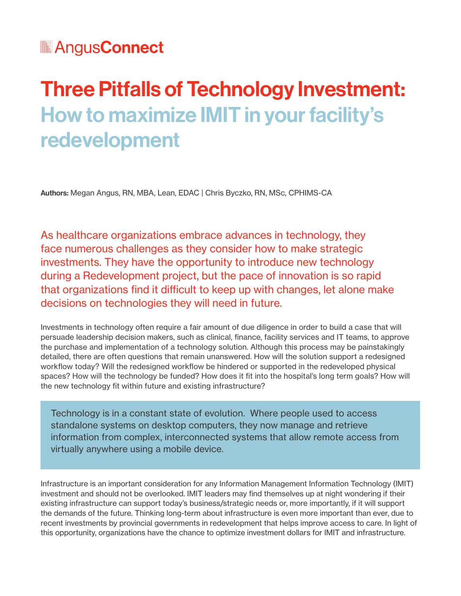# Three Pitfalls of Technology Investment: How to maximize IMIT in your facility's redevelopment

Authors: Megan Angus, RN, MBA, Lean, EDAC | Chris Byczko, RN, MSc, CPHIMS-CA

As healthcare organizations embrace advances in technology, they face numerous challenges as they consider how to make strategic investments. They have the opportunity to introduce new technology during a Redevelopment project, but the pace of innovation is so rapid that organizations find it difficult to keep up with changes, let alone make decisions on technologies they will need in future.

Investments in technology often require a fair amount of due diligence in order to build a case that will persuade leadership decision makers, such as clinical, finance, facility services and IT teams, to approve the purchase and implementation of a technology solution. Although this process may be painstakingly detailed, there are often questions that remain unanswered. How will the solution support a redesigned workflow today? Will the redesigned workflow be hindered or supported in the redeveloped physical spaces? How will the technology be funded? How does it fit into the hospital's long term goals? How will the new technology fit within future and existing infrastructure?

Technology is in a constant state of evolution. Where people used to access standalone systems on desktop computers, they now manage and retrieve information from complex, interconnected systems that allow remote access from virtually anywhere using a mobile device.

Infrastructure is an important consideration for any Information Management Information Technology (IMIT) investment and should not be overlooked. IMIT leaders may find themselves up at night wondering if their existing infrastructure can support today's business/strategic needs or, more importantly, if it will support the demands of the future. Thinking long-term about infrastructure is even more important than ever, due to recent investments by provincial governments in redevelopment that helps improve access to care. In light of this opportunity, organizations have the chance to optimize investment dollars for IMIT and infrastructure.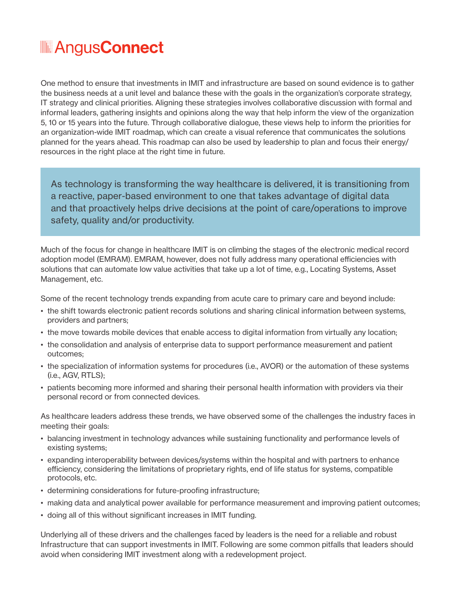One method to ensure that investments in IMIT and infrastructure are based on sound evidence is to gather the business needs at a unit level and balance these with the goals in the organization's corporate strategy, IT strategy and clinical priorities. Aligning these strategies involves collaborative discussion with formal and informal leaders, gathering insights and opinions along the way that help inform the view of the organization 5, 10 or 15 years into the future. Through collaborative dialogue, these views help to inform the priorities for an organization-wide IMIT roadmap, which can create a visual reference that communicates the solutions planned for the years ahead. This roadmap can also be used by leadership to plan and focus their energy/ resources in the right place at the right time in future.

As technology is transforming the way healthcare is delivered, it is transitioning from a reactive, paper-based environment to one that takes advantage of digital data and that proactively helps drive decisions at the point of care/operations to improve safety, quality and/or productivity.

Much of the focus for change in healthcare IMIT is on climbing the stages of the electronic medical record adoption model (EMRAM). EMRAM, however, does not fully address many operational efficiencies with solutions that can automate low value activities that take up a lot of time, e.g., Locating Systems, Asset Management, etc.

Some of the recent technology trends expanding from acute care to primary care and beyond include:

- the shift towards electronic patient records solutions and sharing clinical information between systems, providers and partners;
- the move towards mobile devices that enable access to digital information from virtually any location;
- the consolidation and analysis of enterprise data to support performance measurement and patient outcomes;
- the specialization of information systems for procedures (i.e., AVOR) or the automation of these systems (i.e., AGV, RTLS);
- patients becoming more informed and sharing their personal health information with providers via their personal record or from connected devices.

As healthcare leaders address these trends, we have observed some of the challenges the industry faces in meeting their goals:

- balancing investment in technology advances while sustaining functionality and performance levels of existing systems;
- expanding interoperability between devices/systems within the hospital and with partners to enhance efficiency, considering the limitations of proprietary rights, end of life status for systems, compatible protocols, etc.
- determining considerations for future-proofing infrastructure;
- making data and analytical power available for performance measurement and improving patient outcomes;
- doing all of this without significant increases in IMIT funding.

Underlying all of these drivers and the challenges faced by leaders is the need for a reliable and robust Infrastructure that can support investments in IMIT. Following are some common pitfalls that leaders should avoid when considering IMIT investment along with a redevelopment project.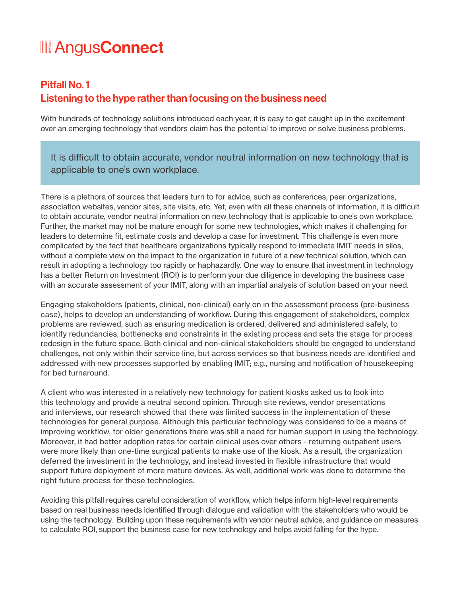### Pitfall No. 1 Listening to the hype rather than focusing on the business need

With hundreds of technology solutions introduced each year, it is easy to get caught up in the excitement over an emerging technology that vendors claim has the potential to improve or solve business problems.

It is difficult to obtain accurate, vendor neutral information on new technology that is applicable to one's own workplace.

There is a plethora of sources that leaders turn to for advice, such as conferences, peer organizations, association websites, vendor sites, site visits, etc. Yet, even with all these channels of information, it is difficult to obtain accurate, vendor neutral information on new technology that is applicable to one's own workplace. Further, the market may not be mature enough for some new technologies, which makes it challenging for leaders to determine fit, estimate costs and develop a case for investment. This challenge is even more complicated by the fact that healthcare organizations typically respond to immediate IMIT needs in silos, without a complete view on the impact to the organization in future of a new technical solution, which can result in adopting a technology too rapidly or haphazardly. One way to ensure that investment in technology has a better Return on Investment (ROI) is to perform your due diligence in developing the business case with an accurate assessment of your IMIT, along with an impartial analysis of solution based on your need.

Engaging stakeholders (patients, clinical, non-clinical) early on in the assessment process (pre-business case), helps to develop an understanding of workflow. During this engagement of stakeholders, complex problems are reviewed, such as ensuring medication is ordered, delivered and administered safely, to identify redundancies, bottlenecks and constraints in the existing process and sets the stage for process redesign in the future space. Both clinical and non-clinical stakeholders should be engaged to understand challenges, not only within their service line, but across services so that business needs are identified and addressed with new processes supported by enabling IMIT; e.g., nursing and notification of housekeeping for bed turnaround.

A client who was interested in a relatively new technology for patient kiosks asked us to look into this technology and provide a neutral second opinion. Through site reviews, vendor presentations and interviews, our research showed that there was limited success in the implementation of these technologies for general purpose. Although this particular technology was considered to be a means of improving workflow, for older generations there was still a need for human support in using the technology. Moreover, it had better adoption rates for certain clinical uses over others - returning outpatient users were more likely than one-time surgical patients to make use of the kiosk. As a result, the organization deferred the investment in the technology, and instead invested in flexible infrastructure that would support future deployment of more mature devices. As well, additional work was done to determine the right future process for these technologies.

Avoiding this pitfall requires careful consideration of workflow, which helps inform high-level requirements based on real business needs identified through dialogue and validation with the stakeholders who would be using the technology. Building upon these requirements with vendor neutral advice, and guidance on measures to calculate ROI, support the business case for new technology and helps avoid falling for the hype.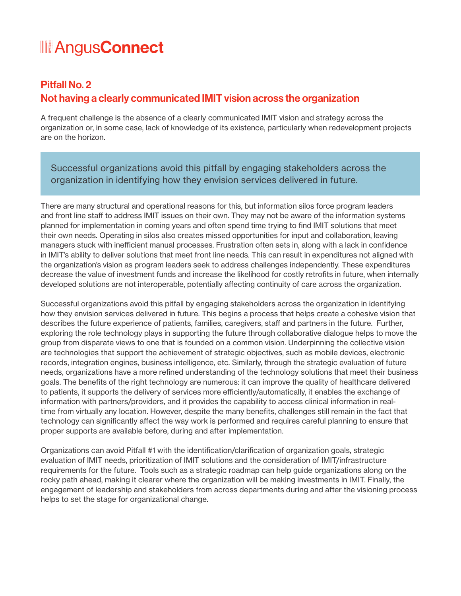### Pitfall No. 2 Not having a clearly communicated IMIT vision across the organization

A frequent challenge is the absence of a clearly communicated IMIT vision and strategy across the organization or, in some case, lack of knowledge of its existence, particularly when redevelopment projects are on the horizon.

Successful organizations avoid this pitfall by engaging stakeholders across the organization in identifying how they envision services delivered in future.

There are many structural and operational reasons for this, but information silos force program leaders and front line staff to address IMIT issues on their own. They may not be aware of the information systems planned for implementation in coming years and often spend time trying to find IMIT solutions that meet their own needs. Operating in silos also creates missed opportunities for input and collaboration, leaving managers stuck with inefficient manual processes. Frustration often sets in, along with a lack in confidence in IMIT's ability to deliver solutions that meet front line needs. This can result in expenditures not aligned with the organization's vision as program leaders seek to address challenges independently. These expenditures decrease the value of investment funds and increase the likelihood for costly retrofits in future, when internally developed solutions are not interoperable, potentially affecting continuity of care across the organization.

Successful organizations avoid this pitfall by engaging stakeholders across the organization in identifying how they envision services delivered in future. This begins a process that helps create a cohesive vision that describes the future experience of patients, families, caregivers, staff and partners in the future. Further, exploring the role technology plays in supporting the future through collaborative dialogue helps to move the group from disparate views to one that is founded on a common vision. Underpinning the collective vision are technologies that support the achievement of strategic objectives, such as mobile devices, electronic records, integration engines, business intelligence, etc. Similarly, through the strategic evaluation of future needs, organizations have a more refined understanding of the technology solutions that meet their business goals. The benefits of the right technology are numerous: it can improve the quality of healthcare delivered to patients, it supports the delivery of services more efficiently/automatically, it enables the exchange of information with partners/providers, and it provides the capability to access clinical information in realtime from virtually any location. However, despite the many benefits, challenges still remain in the fact that technology can significantly affect the way work is performed and requires careful planning to ensure that proper supports are available before, during and after implementation.

Organizations can avoid Pitfall #1 with the identification/clarification of organization goals, strategic evaluation of IMIT needs, prioritization of IMIT solutions and the consideration of IMIT/infrastructure requirements for the future. Tools such as a strategic roadmap can help guide organizations along on the rocky path ahead, making it clearer where the organization will be making investments in IMIT. Finally, the engagement of leadership and stakeholders from across departments during and after the visioning process helps to set the stage for organizational change.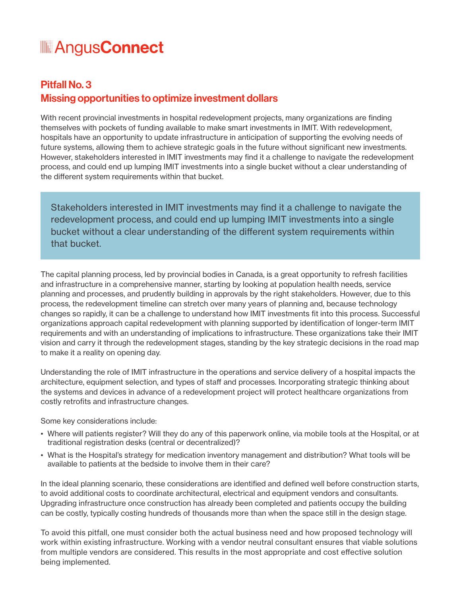### Pitfall No. 3 Missing opportunities to optimize investment dollars

With recent provincial investments in hospital redevelopment projects, many organizations are finding themselves with pockets of funding available to make smart investments in IMIT. With redevelopment, hospitals have an opportunity to update infrastructure in anticipation of supporting the evolving needs of future systems, allowing them to achieve strategic goals in the future without significant new investments. However, stakeholders interested in IMIT investments may find it a challenge to navigate the redevelopment process, and could end up lumping IMIT investments into a single bucket without a clear understanding of the different system requirements within that bucket.

Stakeholders interested in IMIT investments may find it a challenge to navigate the redevelopment process, and could end up lumping IMIT investments into a single bucket without a clear understanding of the different system requirements within that bucket.

The capital planning process, led by provincial bodies in Canada, is a great opportunity to refresh facilities and infrastructure in a comprehensive manner, starting by looking at population health needs, service planning and processes, and prudently building in approvals by the right stakeholders. However, due to this process, the redevelopment timeline can stretch over many years of planning and, because technology changes so rapidly, it can be a challenge to understand how IMIT investments fit into this process. Successful organizations approach capital redevelopment with planning supported by identification of longer-term IMIT requirements and with an understanding of implications to infrastructure. These organizations take their IMIT vision and carry it through the redevelopment stages, standing by the key strategic decisions in the road map to make it a reality on opening day.

Understanding the role of IMIT infrastructure in the operations and service delivery of a hospital impacts the architecture, equipment selection, and types of staff and processes. Incorporating strategic thinking about the systems and devices in advance of a redevelopment project will protect healthcare organizations from costly retrofits and infrastructure changes.

Some key considerations include:

- Where will patients register? Will they do any of this paperwork online, via mobile tools at the Hospital, or at traditional registration desks (central or decentralized)?
- What is the Hospital's strategy for medication inventory management and distribution? What tools will be available to patients at the bedside to involve them in their care?

In the ideal planning scenario, these considerations are identified and defined well before construction starts, to avoid additional costs to coordinate architectural, electrical and equipment vendors and consultants. Upgrading infrastructure once construction has already been completed and patients occupy the building can be costly, typically costing hundreds of thousands more than when the space still in the design stage.

To avoid this pitfall, one must consider both the actual business need and how proposed technology will work within existing infrastructure. Working with a vendor neutral consultant ensures that viable solutions from multiple vendors are considered. This results in the most appropriate and cost effective solution being implemented.